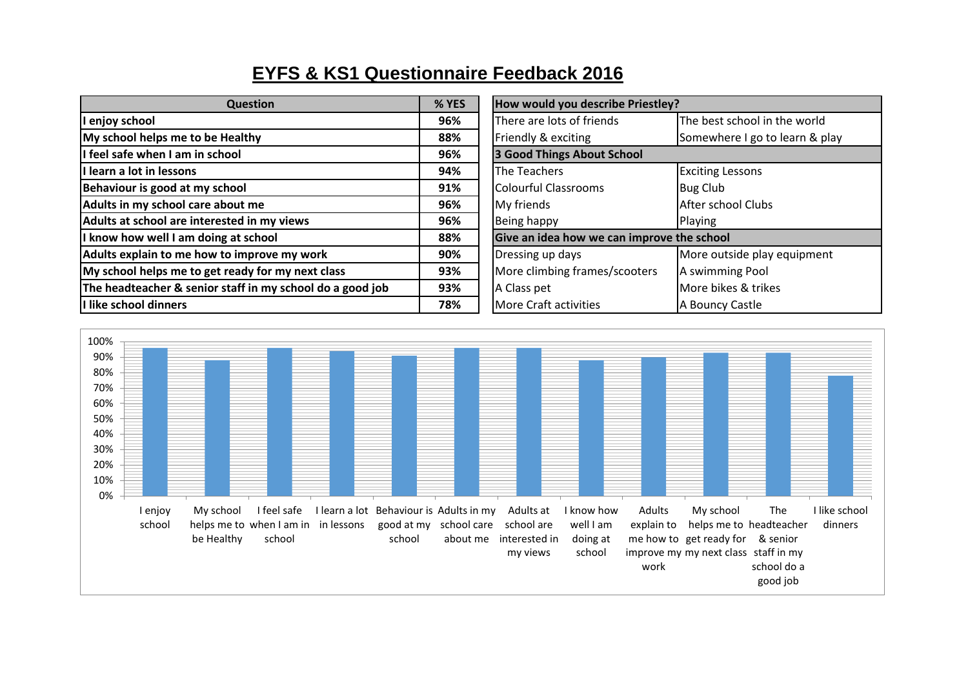## **EYFS & KS1 Questionnaire Feedback 2016**

| <b>Question</b>                                           | % YES | How would you describe Priestley?          |                                |
|-----------------------------------------------------------|-------|--------------------------------------------|--------------------------------|
| I enjoy school                                            | 96%   | There are lots of friends                  | The best school in the world   |
| My school helps me to be Healthy                          | 88%   | Friendly & exciting                        | Somewhere I go to learn & play |
| I feel safe when I am in school                           | 96%   | 3 Good Things About School                 |                                |
| I learn a lot in lessons                                  | 94%   | The Teachers                               | <b>Exciting Lessons</b>        |
| Behaviour is good at my school                            | 91%   | <b>Colourful Classrooms</b>                | <b>Bug Club</b>                |
| Adults in my school care about me                         | 96%   | My friends                                 | After school Clubs             |
| Adults at school are interested in my views               | 96%   | Being happy                                | Playing                        |
| I know how well I am doing at school                      | 88%   | Give an idea how we can improve the school |                                |
| Adults explain to me how to improve my work               | 90%   | Dressing up days                           | More outside play equipment    |
| My school helps me to get ready for my next class         | 93%   | More climbing frames/scooters              | A swimming Pool                |
| The headteacher & senior staff in my school do a good job | 93%   | A Class pet                                | More bikes & trikes            |
| I like school dinners                                     | 78%   | <b>More Craft activities</b>               | A Bouncy Castle                |

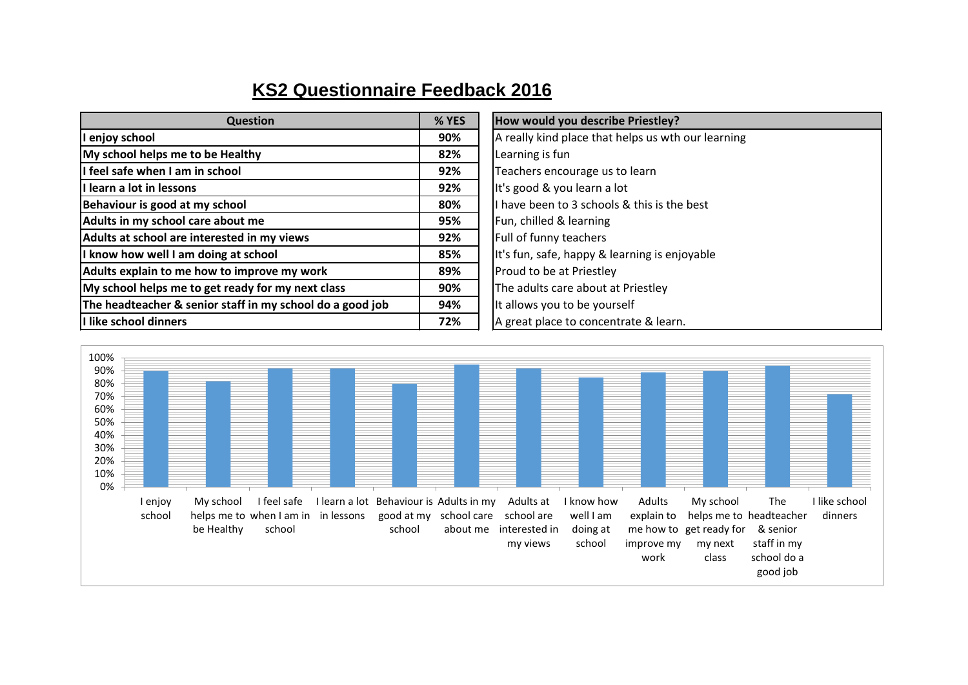## **KS2 Questionnaire Feedback 2016**

| <b>Question</b>                                           | % YES | How would you describe Priestley?                  |
|-----------------------------------------------------------|-------|----------------------------------------------------|
| I enjoy school                                            | 90%   | A really kind place that helps us wth our learning |
| My school helps me to be Healthy                          | 82%   | Learning is fun                                    |
| I feel safe when I am in school                           | 92%   | Teachers encourage us to learn                     |
| I learn a lot in lessons                                  | 92%   | It's good & you learn a lot                        |
| Behaviour is good at my school                            | 80%   | I have been to 3 schools & this is the best        |
| Adults in my school care about me                         | 95%   | Fun, chilled & learning                            |
| Adults at school are interested in my views               | 92%   | Full of funny teachers                             |
| I know how well I am doing at school                      | 85%   | It's fun, safe, happy & learning is enjoyable      |
| Adults explain to me how to improve my work               | 89%   | Proud to be at Priestley                           |
| My school helps me to get ready for my next class         | 90%   | The adults care about at Priestley                 |
| The headteacher & senior staff in my school do a good job | 94%   | It allows you to be yourself                       |
| I like school dinners                                     | 72%   | A great place to concentrate & learn.              |